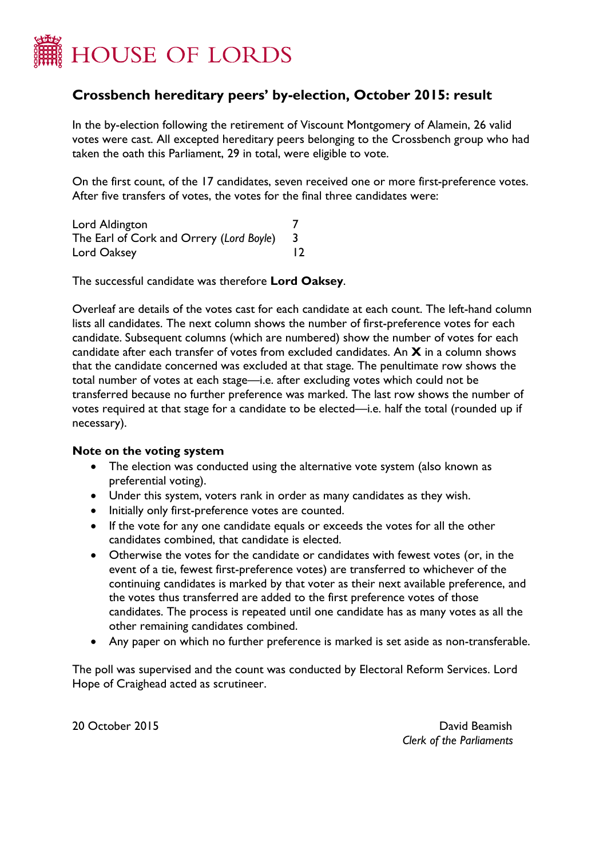

## **Crossbench hereditary peers' by-election, October 2015: result**

In the by-election following the retirement of Viscount Montgomery of Alamein, 26 valid votes were cast. All excepted hereditary peers belonging to the Crossbench group who had taken the oath this Parliament, 29 in total, were eligible to vote.

On the first count, of the 17 candidates, seven received one or more first-preference votes. After five transfers of votes, the votes for the final three candidates were:

Lord Aldington 7 The Earl of Cork and Orrery (*Lord Boyle*) 3 Lord Oaksey 12

The successful candidate was therefore **Lord Oaksey**.

Overleaf are details of the votes cast for each candidate at each count. The left-hand column lists all candidates. The next column shows the number of first-preference votes for each candidate. Subsequent columns (which are numbered) show the number of votes for each candidate after each transfer of votes from excluded candidates. An **X** in a column shows that the candidate concerned was excluded at that stage. The penultimate row shows the total number of votes at each stage—i.e. after excluding votes which could not be transferred because no further preference was marked. The last row shows the number of votes required at that stage for a candidate to be elected—i.e. half the total (rounded up if necessary).

## **Note on the voting system**

- The election was conducted using the alternative vote system (also known as preferential voting).
- Under this system, voters rank in order as many candidates as they wish.
- Initially only first-preference votes are counted.
- If the vote for any one candidate equals or exceeds the votes for all the other candidates combined, that candidate is elected.
- Otherwise the votes for the candidate or candidates with fewest votes (or, in the event of a tie, fewest first-preference votes) are transferred to whichever of the continuing candidates is marked by that voter as their next available preference, and the votes thus transferred are added to the first preference votes of those candidates. The process is repeated until one candidate has as many votes as all the other remaining candidates combined.
- Any paper on which no further preference is marked is set aside as non-transferable.

The poll was supervised and the count was conducted by Electoral Reform Services. Lord Hope of Craighead acted as scrutineer.

20 October 2015 David Beamish *Clerk of the Parliaments*